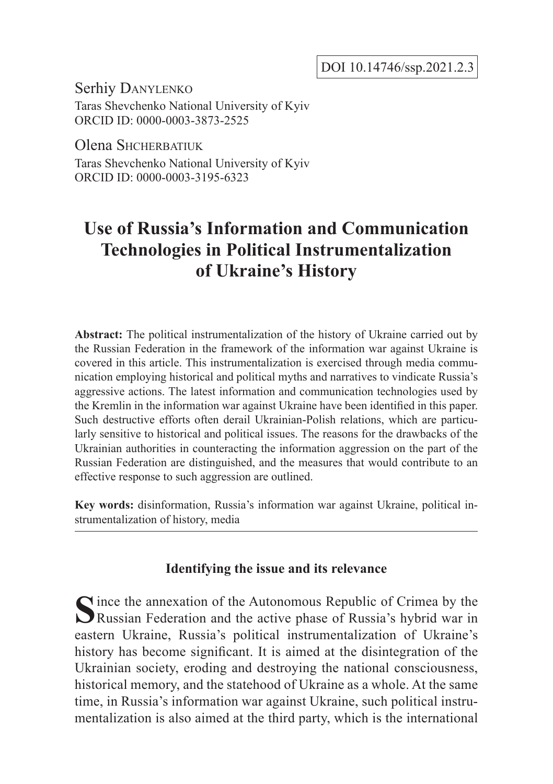DOI 10.14746/ssp.2021.2.3

Serhiy Danylenko

Taras Shevchenko National University of Kyiv ORCID ID: 0000-0003-3873-2525

Olena SHCHERBATIUK

Taras Shevchenko National University of Kyiv ORCID ID: 0000-0003-3195-6323

# **Use of Russia's Information and Communication Technologies in Political Instrumentalization of Ukraine's History**

**Abstract:** The political instrumentalization of the history of Ukraine carried out by the Russian Federation in the framework of the information war against Ukraine is covered in this article. This instrumentalization is exercised through media communication employing historical and political myths and narratives to vindicate Russia's aggressive actions. The latest information and communication technologies used by the Kremlin in the information war against Ukraine have been identified in this paper. Such destructive efforts often derail Ukrainian-Polish relations, which are particularly sensitive to historical and political issues. The reasons for the drawbacks of the Ukrainian authorities in counteracting the information aggression on the part of the Russian Federation are distinguished, and the measures that would contribute to an effective response to such aggression are outlined.

**Key words:** disinformation, Russia's information war against Ukraine, political instrumentalization of history, media

# **Identifying the issue and its relevance**

Since the annexation of the Autonomous Republic of Crimea by the Russian Federation and the active phase of Russia's hybrid war in eastern Ukraine, Russia's political instrumentalization of Ukraine's history has become significant. It is aimed at the disintegration of the Ukrainian society, eroding and destroying the national consciousness, historical memory, and the statehood of Ukraine as a whole. At the same time, in Russia's information war against Ukraine, such political instrumentalization is also aimed at the third party, which is the international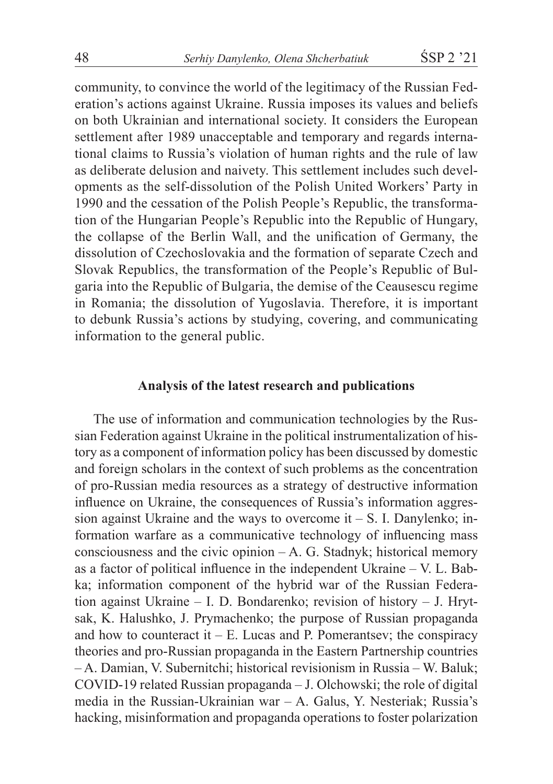community, to convince the world of the legitimacy of the Russian Federation's actions against Ukraine. Russia imposes its values and beliefs on both Ukrainian and international society. It considers the European settlement after 1989 unacceptable and temporary and regards international claims to Russia's violation of human rights and the rule of law as deliberate delusion and naivety. This settlement includes such developments as the self-dissolution of the Polish United Workers' Party in 1990 and the cessation of the Polish People's Republic, the transformation of the Hungarian People's Republic into the Republic of Hungary, the collapse of the Berlin Wall, and the unification of Germany, the dissolution of Czechoslovakia and the formation of separate Czech and Slovak Republics, the transformation of the People's Republic of Bulgaria into the Republic of Bulgaria, the demise of the Ceausescu regime in Romania; the dissolution of Yugoslavia. Therefore, it is important to debunk Russia's actions by studying, covering, and communicating information to the general public.

#### **Analysis of the latest research and publications**

The use of information and communication technologies by the Russian Federation against Ukraine in the political instrumentalization of history as a component of information policy has been discussed by domestic and foreign scholars in the context of such problems as the concentration of pro-Russian media resources as a strategy of destructive information influence on Ukraine, the consequences of Russia's information aggression against Ukraine and the ways to overcome  $it - S$ . I. Danylenko; information warfare as a communicative technology of influencing mass consciousness and the civic opinion – A. G. Stadnyk; historical memory as a factor of political influence in the independent Ukraine – V. L. Babka; information component of the hybrid war of the Russian Federation against Ukraine – I. D. Bondarenko; revision of history – J. Hrytsak, K. Halushko, J. Prymachenko; the purpose of Russian propaganda and how to counteract it  $- E$ . Lucas and P. Pomerantsev; the conspiracy theories and pro-Russian propaganda in the Eastern Partnership countries – A. Damian, V. Subernitchi; historical revisionism in Russia – W. Baluk; COVID-19 related Russian propaganda – J. Olchowski; the role of digital media in the Russian-Ukrainian war – A. Galus, Y. Nesteriak; Russia's hacking, misinformation and propaganda operations to foster polarization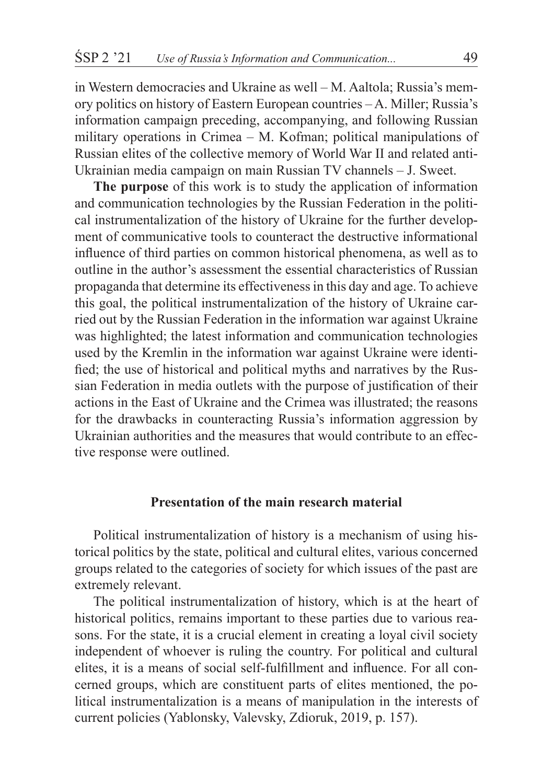in Western democracies and Ukraine as well – M. Aaltola; Russia's memory politics on history of Eastern European countries – A. Miller; Russia's information campaign preceding, accompanying, and following Russian military operations in Crimea – M. Kofman; political manipulations of Russian elites of the collective memory of World War II and related anti-Ukrainian media campaign on main Russian TV channels – J. Sweet.

**The purpose** of this work is to study the application of information and communication technologies by the Russian Federation in the political instrumentalization of the history of Ukraine for the further development of communicative tools to counteract the destructive informational influence of third parties on common historical phenomena, as well as to outline in the author's assessment the essential characteristics of Russian propaganda that determine its effectiveness in this day and age. To achieve this goal, the political instrumentalization of the history of Ukraine carried out by the Russian Federation in the information war against Ukraine was highlighted; the latest information and communication technologies used by the Kremlin in the information war against Ukraine were identified; the use of historical and political myths and narratives by the Russian Federation in media outlets with the purpose of justification of their actions in the East of Ukraine and the Crimea was illustrated; the reasons for the drawbacks in counteracting Russia's information aggression by Ukrainian authorities and the measures that would contribute to an effective response were outlined.

# **Presentation of the main research material**

Political instrumentalization of history is a mechanism of using historical politics by the state, political and cultural elites, various concerned groups related to the categories of society for which issues of the past are extremely relevant.

The political instrumentalization of history, which is at the heart of historical politics, remains important to these parties due to various reasons. For the state, it is a crucial element in creating a loyal civil society independent of whoever is ruling the country. For political and cultural elites, it is a means of social self-fulfillment and influence. For all concerned groups, which are constituent parts of elites mentioned, the political instrumentalization is a means of manipulation in the interests of current policies (Yablonsky, Valevsky, Zdioruk, 2019, p. 157).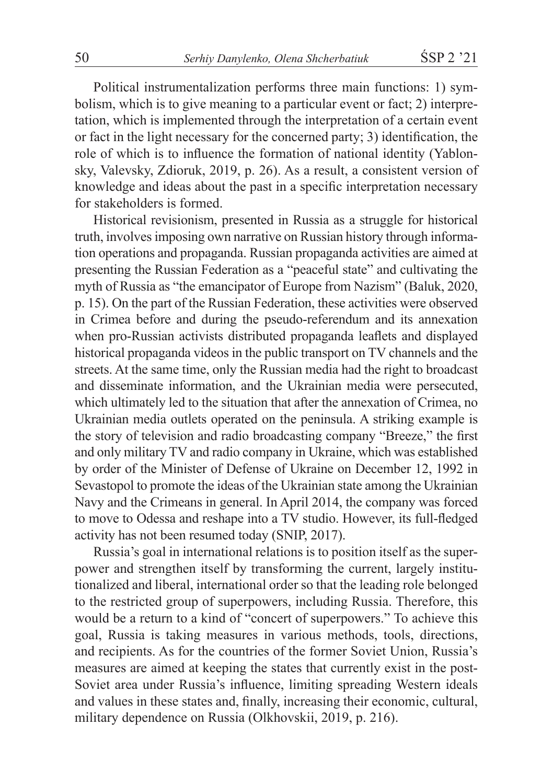Political instrumentalization performs three main functions: 1) symbolism, which is to give meaning to a particular event or fact; 2) interpretation, which is implemented through the interpretation of a certain event or fact in the light necessary for the concerned party; 3) identification, the role of which is to influence the formation of national identity (Yablonsky, Valevsky, Zdioruk, 2019, p. 26). As a result, a consistent version of knowledge and ideas about the past in a specific interpretation necessary for stakeholders is formed.

Historical revisionism, presented in Russia as a struggle for historical truth, involves imposing own narrative on Russian history through information operations and propaganda. Russian propaganda activities are aimed at presenting the Russian Federation as a "peaceful state" and cultivating the myth of Russia as "the emancipator of Europe from Nazism" (Baluk, 2020, p. 15). On the part of the Russian Federation, these activities were observed in Crimea before and during the pseudo-referendum and its annexation when pro-Russian activists distributed propaganda leaflets and displayed historical propaganda videos in the public transport on TV channels and the streets. At the same time, only the Russian media had the right to broadcast and disseminate information, and the Ukrainian media were persecuted, which ultimately led to the situation that after the annexation of Crimea, no Ukrainian media outlets operated on the peninsula. A striking example is the story of television and radio broadcasting company "Breeze," the first and only military TV and radio company in Ukraine, which was established by order of the Minister of Defense of Ukraine on December 12, 1992 in Sevastopol to promote the ideas of the Ukrainian state among the Ukrainian Navy and the Crimeans in general. In April 2014, the company was forced to move to Odessa and reshape into a TV studio. However, its full-fledged activity has not been resumed today (SNIP, 2017).

Russia's goal in international relations is to position itself as the superpower and strengthen itself by transforming the current, largely institutionalized and liberal, international order so that the leading role belonged to the restricted group of superpowers, including Russia. Therefore, this would be a return to a kind of "concert of superpowers." To achieve this goal, Russia is taking measures in various methods, tools, directions, and recipients. As for the countries of the former Soviet Union, Russia's measures are aimed at keeping the states that currently exist in the post-Soviet area under Russia's influence, limiting spreading Western ideals and values in these states and, finally, increasing their economic, cultural, military dependence on Russia (Olkhovskii, 2019, p. 216).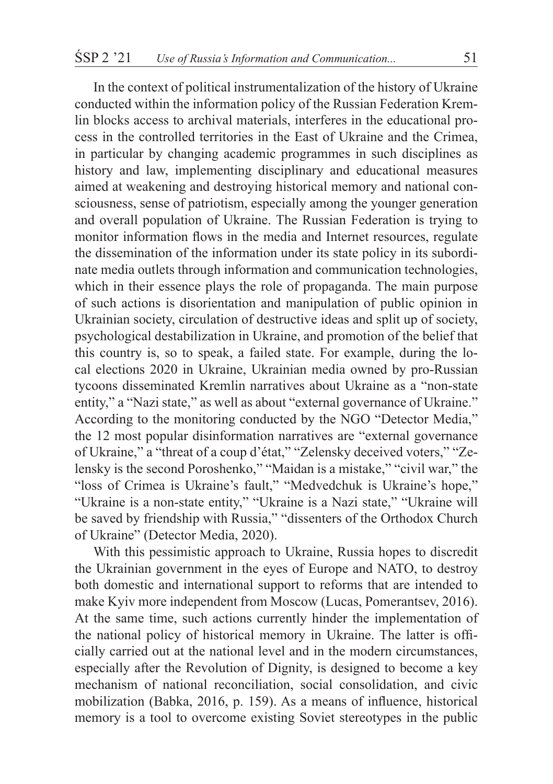In the context of political instrumentalization of the history of Ukraine conducted within the information policy of the Russian Federation Kremlin blocks access to archival materials, interferes in the educational process in the controlled territories in the East of Ukraine and the Crimea, in particular by changing academic programmes in such disciplines as history and law, implementing disciplinary and educational measures aimed at weakening and destroying historical memory and national consciousness, sense of patriotism, especially among the younger generation and overall population of Ukraine. The Russian Federation is trying to monitor information flows in the media and Internet resources, regulate the dissemination of the information under its state policy in its subordinate media outlets through information and communication technologies, which in their essence plays the role of propaganda. The main purpose of such actions is disorientation and manipulation of public opinion in Ukrainian society, circulation of destructive ideas and split up of society, psychological destabilization in Ukraine, and promotion of the belief that this country is, so to speak, a failed state. For example, during the local elections 2020 in Ukraine, Ukrainian media owned by pro-Russian tycoons disseminated Kremlin narratives about Ukraine as a "non-state entity," a "Nazi state," as well as about "external governance of Ukraine." According to the monitoring conducted by the NGO "Detector Media," the 12 most popular disinformation narratives are "external governance of Ukraine," a "threat of a coup d'état," "Zelensky deceived voters," "Zelensky is the second Poroshenko," "Maidan is a mistake," "civil war," the "loss of Crimea is Ukraine's fault," "Medvedchuk is Ukraine's hope," "Ukraine is a non-state entity," "Ukraine is a Nazi state," "Ukraine will be saved by friendship with Russia," "dissenters of the Orthodox Church of Ukraine" (Detector Media, 2020).

With this pessimistic approach to Ukraine, Russia hopes to discredit the Ukrainian government in the eyes of Europe and NATO, to destroy both domestic and international support to reforms that are intended to make Kyiv more independent from Moscow (Lucas, Pomerantsev, 2016). At the same time, such actions currently hinder the implementation of the national policy of historical memory in Ukraine. The latter is officially carried out at the national level and in the modern circumstances, especially after the Revolution of Dignity, is designed to become a key mechanism of national reconciliation, social consolidation, and civic mobilization (Babka, 2016, p. 159). As a means of influence, historical memory is a tool to overcome existing Soviet stereotypes in the public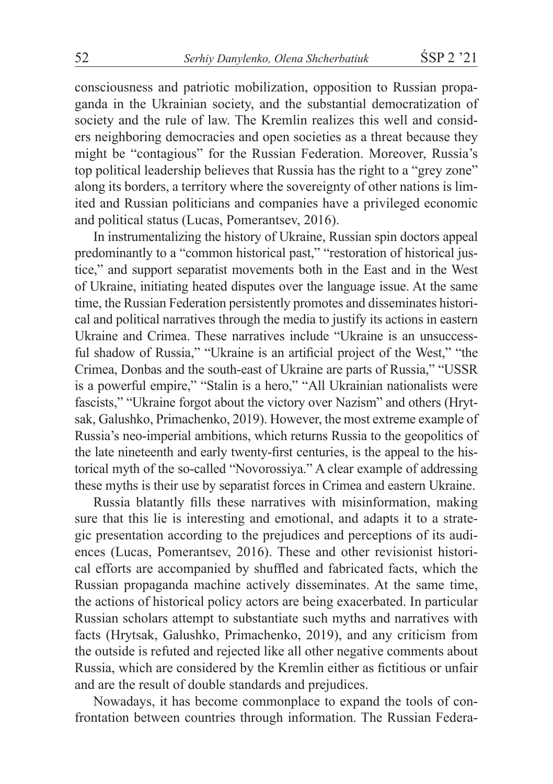consciousness and patriotic mobilization, opposition to Russian propaganda in the Ukrainian society, and the substantial democratization of society and the rule of law. The Kremlin realizes this well and considers neighboring democracies and open societies as a threat because they might be "contagious" for the Russian Federation. Moreover, Russia's top political leadership believes that Russia has the right to a "grey zone" along its borders, a territory where the sovereignty of other nations is limited and Russian politicians and companies have a privileged economic and political status (Lucas, Pomerantsev, 2016).

In instrumentalizing the history of Ukraine, Russian spin doctors appeal predominantly to a "common historical past," "restoration of historical justice," and support separatist movements both in the East and in the West of Ukraine, initiating heated disputes over the language issue. At the same time, the Russian Federation persistently promotes and disseminates historical and political narratives through the media to justify its actions in eastern Ukraine and Crimea. These narratives include "Ukraine is an unsuccessful shadow of Russia," "Ukraine is an artificial project of the West," "the Crimea, Donbas and the south-east of Ukraine are parts of Russia," "USSR is a powerful empire," "Stalin is a hero," "All Ukrainian nationalists were fascists," "Ukraine forgot about the victory over Nazism" and others (Hrytsak, Galushko, Primachenko, 2019). However, the most extreme example of Russia's neo-imperial ambitions, which returns Russia to the geopolitics of the late nineteenth and early twenty-first centuries, is the appeal to the historical myth of the so-called "Novorossiya." A clear example of addressing these myths is their use by separatist forces in Crimea and eastern Ukraine.

Russia blatantly fills these narratives with misinformation, making sure that this lie is interesting and emotional, and adapts it to a strategic presentation according to the prejudices and perceptions of its audiences (Lucas, Pomerantsev, 2016). These and other revisionist historical efforts are accompanied by shuffled and fabricated facts, which the Russian propaganda machine actively disseminates. At the same time, the actions of historical policy actors are being exacerbated. In particular Russian scholars attempt to substantiate such myths and narratives with facts (Hrytsak, Galushko, Primachenko, 2019), and any criticism from the outside is refuted and rejected like all other negative comments about Russia, which are considered by the Kremlin either as fictitious or unfair and are the result of double standards and prejudices.

Nowadays, it has become commonplace to expand the tools of confrontation between countries through information. The Russian Federa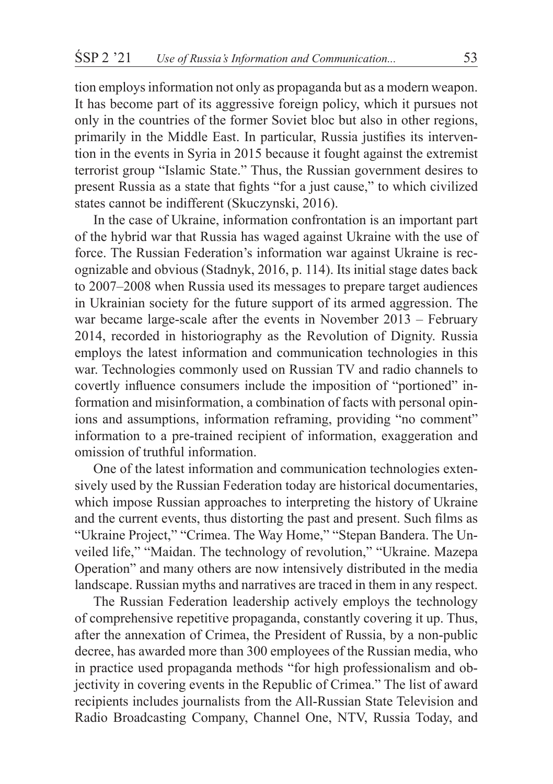tion employs information not only as propaganda but as a modern weapon. It has become part of its aggressive foreign policy, which it pursues not only in the countries of the former Soviet bloc but also in other regions, primarily in the Middle East. In particular, Russia justifies its intervention in the events in Syria in 2015 because it fought against the extremist terrorist group "Islamic State." Thus, the Russian government desires to present Russia as a state that fights "for a just cause," to which civilized states cannot be indifferent (Skuczynski, 2016).

In the case of Ukraine, information confrontation is an important part of the hybrid war that Russia has waged against Ukraine with the use of force. The Russian Federation's information war against Ukraine is recognizable and obvious (Stadnyk, 2016, p. 114). Its initial stage dates back to 2007–2008 when Russia used its messages to prepare target audiences in Ukrainian society for the future support of its armed aggression. The war became large-scale after the events in November 2013 – February 2014, recorded in historiography as the Revolution of Dignity. Russia employs the latest information and communication technologies in this war. Technologies commonly used on Russian TV and radio channels to covertly influence consumers include the imposition of "portioned" information and misinformation, a combination of facts with personal opinions and assumptions, information reframing, providing "no comment" information to a pre-trained recipient of information, exaggeration and omission of truthful information.

One of the latest information and communication technologies extensively used by the Russian Federation today are historical documentaries, which impose Russian approaches to interpreting the history of Ukraine and the current events, thus distorting the past and present. Such films as "Ukraine Project," "Crimea. The Way Home," "Stepan Bandera. The Unveiled life," "Maidan. The technology of revolution," "Ukraine. Mazepa Operation" and many others are now intensively distributed in the media landscape. Russian myths and narratives are traced in them in any respect.

The Russian Federation leadership actively employs the technology of comprehensive repetitive propaganda, constantly covering it up. Thus, after the annexation of Crimea, the President of Russia, by a non-public decree, has awarded more than 300 employees of the Russian media, who in practice used propaganda methods "for high professionalism and objectivity in covering events in the Republic of Crimea." The list of award recipients includes journalists from the All-Russian State Television and Radio Broadcasting Company, Channel One, NTV, Russia Today, and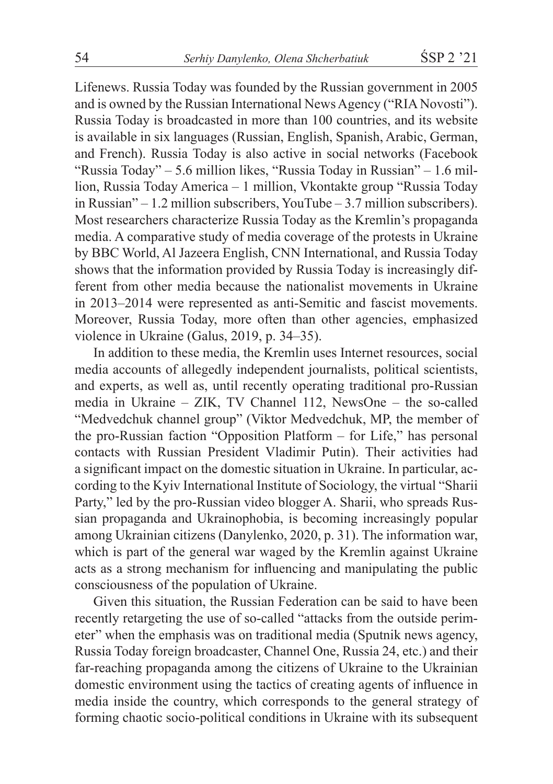Lifenews. Russia Today was founded by the Russian government in 2005 and is owned by the Russian International News Agency ("RIA Novosti"). Russia Today is broadcasted in more than 100 countries, and its website is available in six languages (Russian, English, Spanish, Arabic, German, and French). Russia Today is also active in social networks (Facebook "Russia Today" – 5.6 million likes, "Russia Today in Russian" – 1.6 million, Russia Today America – 1 million, Vkontakte group "Russia Today in Russian" – 1.2 million subscribers, YouTube – 3.7 million subscribers). Most researchers characterize Russia Today as the Kremlin's propaganda media. A comparative study of media coverage of the protests in Ukraine by BBC World, Al Jazeera English, CNN International, and Russia Today shows that the information provided by Russia Today is increasingly different from other media because the nationalist movements in Ukraine in 2013–2014 were represented as anti-Semitic and fascist movements. Moreover, Russia Today, more often than other agencies, emphasized violence in Ukraine (Galus, 2019, p. 34–35).

In addition to these media, the Kremlin uses Internet resources, social media accounts of allegedly independent journalists, political scientists, and experts, as well as, until recently operating traditional pro-Russian media in Ukraine – ZIK, TV Channel 112, NewsOne – the so-called "Medvedchuk channel group" (Viktor Medvedchuk, MP, the member of the pro-Russian faction "Opposition Platform – for Life," has personal contacts with Russian President Vladimir Putin). Their activities had a significant impact on the domestic situation in Ukraine. In particular, according to the Kyiv International Institute of Sociology, the virtual "Sharii Party," led by the pro-Russian video blogger A. Sharii, who spreads Russian propaganda and Ukrainophobia, is becoming increasingly popular among Ukrainian citizens (Danylenko, 2020, p. 31). The information war, which is part of the general war waged by the Kremlin against Ukraine acts as a strong mechanism for influencing and manipulating the public consciousness of the population of Ukraine.

Given this situation, the Russian Federation can be said to have been recently retargeting the use of so-called "attacks from the outside perimeter" when the emphasis was on traditional media (Sputnik news agency, Russia Today foreign broadcaster, Channel One, Russia 24, etc.) and their far-reaching propaganda among the citizens of Ukraine to the Ukrainian domestic environment using the tactics of creating agents of influence in media inside the country, which corresponds to the general strategy of forming chaotic socio-political conditions in Ukraine with its subsequent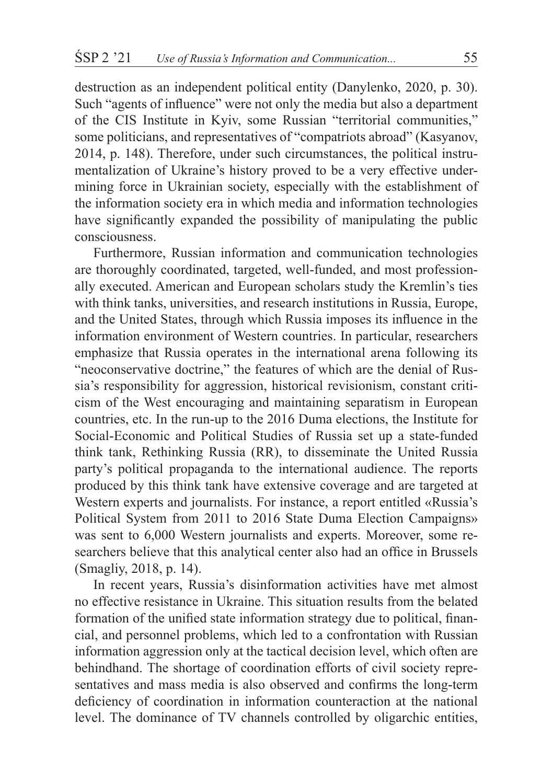destruction as an independent political entity (Danylenko, 2020, p. 30). Such "agents of influence" were not only the media but also a department of the CIS Institute in Kyiv, some Russian "territorial communities," some politicians, and representatives of "compatriots abroad" (Kasyanov, 2014, p. 148). Therefore, under such circumstances, the political instrumentalization of Ukraine's history proved to be a very effective undermining force in Ukrainian society, especially with the establishment of the information society era in which media and information technologies have significantly expanded the possibility of manipulating the public consciousness.

Furthermore, Russian information and communication technologies are thoroughly coordinated, targeted, well-funded, and most professionally executed. American and European scholars study the Kremlin's ties with think tanks, universities, and research institutions in Russia, Europe, and the United States, through which Russia imposes its influence in the information environment of Western countries. In particular, researchers emphasize that Russia operates in the international arena following its "neoconservative doctrine," the features of which are the denial of Russia's responsibility for aggression, historical revisionism, constant criticism of the West encouraging and maintaining separatism in European countries, etc. In the run-up to the 2016 Duma elections, the Institute for Social-Economic and Political Studies of Russia set up a state-funded think tank, Rethinking Russia (RR), to disseminate the United Russia party's political propaganda to the international audience. The reports produced by this think tank have extensive coverage and are targeted at Western experts and journalists. For instance, a report entitled «Russia's Political System from 2011 to 2016 State Duma Election Campaigns» was sent to 6,000 Western journalists and experts. Moreover, some researchers believe that this analytical center also had an office in Brussels (Smagliy, 2018, p. 14).

In recent years, Russia's disinformation activities have met almost no effective resistance in Ukraine. This situation results from the belated formation of the unified state information strategy due to political, financial, and personnel problems, which led to a confrontation with Russian information aggression only at the tactical decision level, which often are behindhand. The shortage of coordination efforts of civil society representatives and mass media is also observed and confirms the long-term deficiency of coordination in information counteraction at the national level. The dominance of TV channels controlled by oligarchic entities,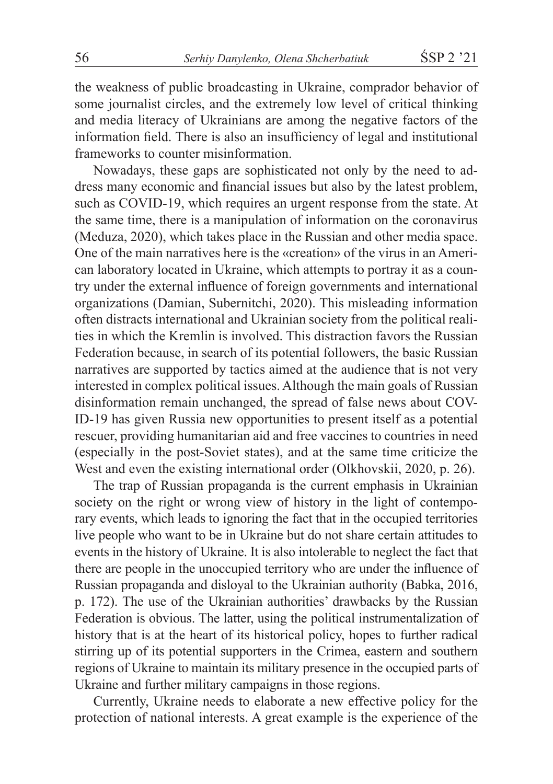the weakness of public broadcasting in Ukraine, comprador behavior of some journalist circles, and the extremely low level of critical thinking and media literacy of Ukrainians are among the negative factors of the information field. There is also an insufficiency of legal and institutional frameworks to counter misinformation.

Nowadays, these gaps are sophisticated not only by the need to address many economic and financial issues but also by the latest problem, such as COVID-19, which requires an urgent response from the state. At the same time, there is a manipulation of information on the coronavirus (Meduza, 2020), which takes place in the Russian and other media space. One of the main narratives here is the «creation» of the virus in an American laboratory located in Ukraine, which attempts to portray it as a country under the external influence of foreign governments and international organizations (Damian, Subernitchi, 2020). This misleading information often distracts international and Ukrainian society from the political realities in which the Kremlin is involved. This distraction favors the Russian Federation because, in search of its potential followers, the basic Russian narratives are supported by tactics aimed at the audience that is not very interested in complex political issues. Although the main goals of Russian disinformation remain unchanged, the spread of false news about COV-ID-19 has given Russia new opportunities to present itself as a potential rescuer, providing humanitarian aid and free vaccines to countries in need (especially in the post-Soviet states), and at the same time criticize the West and even the existing international order (Olkhovskii, 2020, p. 26).

The trap of Russian propaganda is the current emphasis in Ukrainian society on the right or wrong view of history in the light of contemporary events, which leads to ignoring the fact that in the occupied territories live people who want to be in Ukraine but do not share certain attitudes to events in the history of Ukraine. It is also intolerable to neglect the fact that there are people in the unoccupied territory who are under the influence of Russian propaganda and disloyal to the Ukrainian authority (Babka, 2016, p. 172). The use of the Ukrainian authorities' drawbacks by the Russian Federation is obvious. The latter, using the political instrumentalization of history that is at the heart of its historical policy, hopes to further radical stirring up of its potential supporters in the Crimea, eastern and southern regions of Ukraine to maintain its military presence in the occupied parts of Ukraine and further military campaigns in those regions.

Currently, Ukraine needs to elaborate a new effective policy for the protection of national interests. A great example is the experience of the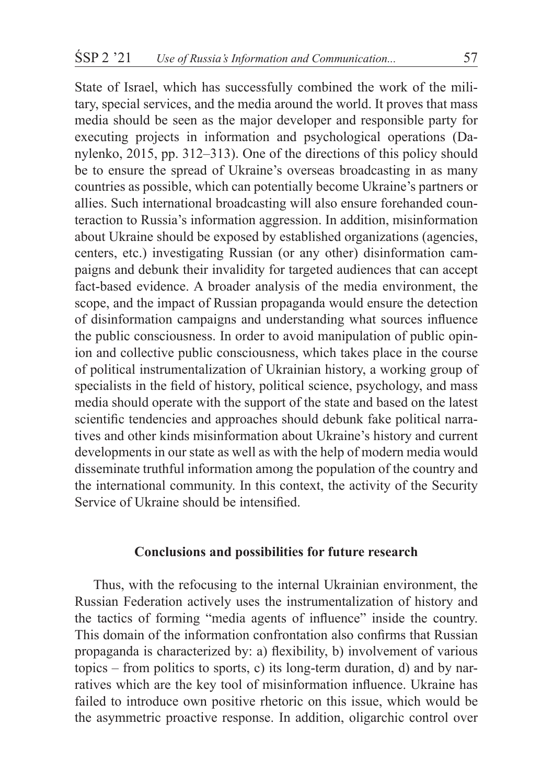State of Israel, which has successfully combined the work of the military, special services, and the media around the world. It proves that mass media should be seen as the major developer and responsible party for executing projects in information and psychological operations (Danylenko, 2015, pp. 312–313). One of the directions of this policy should be to ensure the spread of Ukraine's overseas broadcasting in as many countries as possible, which can potentially become Ukraine's partners or allies. Such international broadcasting will also ensure forehanded counteraction to Russia's information aggression. In addition, misinformation about Ukraine should be exposed by established organizations (agencies, centers, etc.) investigating Russian (or any other) disinformation campaigns and debunk their invalidity for targeted audiences that can accept fact-based evidence. A broader analysis of the media environment, the scope, and the impact of Russian propaganda would ensure the detection of disinformation campaigns and understanding what sources influence the public consciousness. In order to avoid manipulation of public opinion and collective public consciousness, which takes place in the course of political instrumentalization of Ukrainian history, a working group of specialists in the field of history, political science, psychology, and mass media should operate with the support of the state and based on the latest scientific tendencies and approaches should debunk fake political narratives and other kinds misinformation about Ukraine's history and current developments in our state as well as with the help of modern media would disseminate truthful information among the population of the country and the international community. In this context, the activity of the Security Service of Ukraine should be intensified.

# **Conclusions and possibilities for future research**

Thus, with the refocusing to the internal Ukrainian environment, the Russian Federation actively uses the instrumentalization of history and the tactics of forming "media agents of influence" inside the country. This domain of the information confrontation also confirms that Russian propaganda is characterized by: a) flexibility, b) involvement of various topics – from politics to sports, c) its long-term duration, d) and by narratives which are the key tool of misinformation influence. Ukraine has failed to introduce own positive rhetoric on this issue, which would be the asymmetric proactive response. In addition, oligarchic control over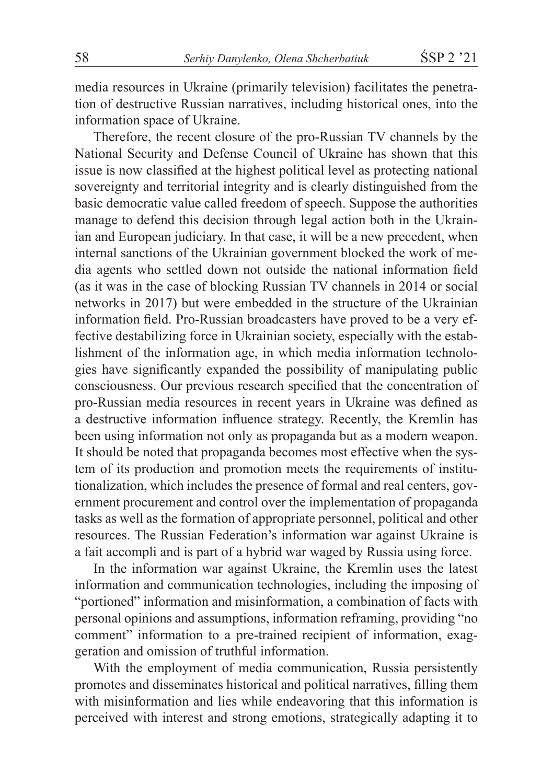media resources in Ukraine (primarily television) facilitates the penetration of destructive Russian narratives, including historical ones, into the information space of Ukraine.

Therefore, the recent closure of the pro-Russian TV channels by the National Security and Defense Council of Ukraine has shown that this issue is now classified at the highest political level as protecting national sovereignty and territorial integrity and is clearly distinguished from the basic democratic value called freedom of speech. Suppose the authorities manage to defend this decision through legal action both in the Ukrainian and European judiciary. In that case, it will be a new precedent, when internal sanctions of the Ukrainian government blocked the work of media agents who settled down not outside the national information field (as it was in the case of blocking Russian TV channels in 2014 or social networks in 2017) but were embedded in the structure of the Ukrainian information field. Pro-Russian broadcasters have proved to be a very effective destabilizing force in Ukrainian society, especially with the establishment of the information age, in which media information technologies have significantly expanded the possibility of manipulating public consciousness. Our previous research specified that the concentration of pro-Russian media resources in recent years in Ukraine was defined as a destructive information influence strategy. Recently, the Kremlin has been using information not only as propaganda but as a modern weapon. It should be noted that propaganda becomes most effective when the system of its production and promotion meets the requirements of institutionalization, which includes the presence of formal and real centers, government procurement and control over the implementation of propaganda tasks as well as the formation of appropriate personnel, political and other resources. The Russian Federation's information war against Ukraine is a fait accompli and is part of a hybrid war waged by Russia using force.

In the information war against Ukraine, the Kremlin uses the latest information and communication technologies, including the imposing of "portioned" information and misinformation, a combination of facts with personal opinions and assumptions, information reframing, providing "no comment" information to a pre-trained recipient of information, exaggeration and omission of truthful information.

With the employment of media communication, Russia persistently promotes and disseminates historical and political narratives, filling them with misinformation and lies while endeavoring that this information is perceived with interest and strong emotions, strategically adapting it to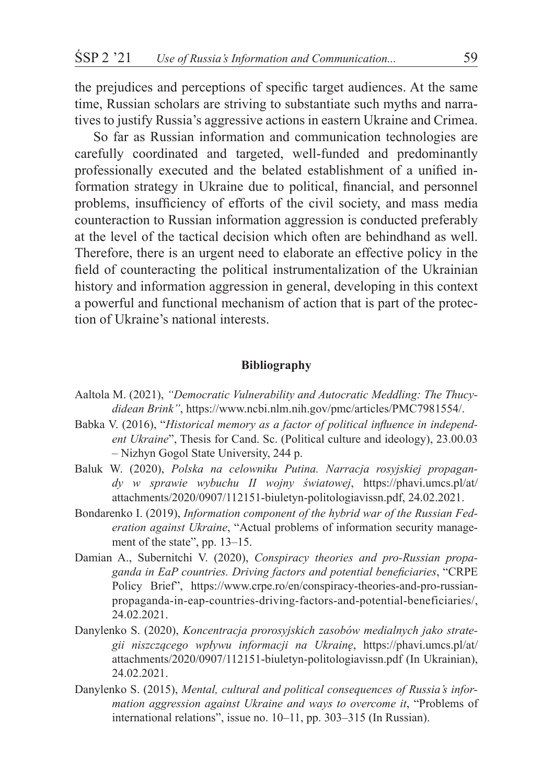the prejudices and perceptions of specific target audiences. At the same time, Russian scholars are striving to substantiate such myths and narratives to justify Russia's aggressive actions in eastern Ukraine and Crimea.

So far as Russian information and communication technologies are carefully coordinated and targeted, well-funded and predominantly professionally executed and the belated establishment of a unified information strategy in Ukraine due to political, financial, and personnel problems, insufficiency of efforts of the civil society, and mass media counteraction to Russian information aggression is conducted preferably at the level of the tactical decision which often are behindhand as well. Therefore, there is an urgent need to elaborate an effective policy in the field of counteracting the political instrumentalization of the Ukrainian history and information aggression in general, developing in this context a powerful and functional mechanism of action that is part of the protection of Ukraine's national interests.

#### **Bibliography**

- Aaltola M. (2021), *"Democratic Vulnerability and Autocratic Meddling: The Thucydidean Brink"*, https://www.ncbi.nlm.nih.gov/pmc/articles/PMC7981554/.
- Babka V. (2016), "*Historical memory as a factor of political influence in independent Ukraine*", Thesis for Cand. Sc. (Political culture and ideology), 23.00.03 – Nizhyn Gogol State University, 244 p.
- Baluk W. (2020), *Polska na celowniku Putina. Narracja rosyjskiej propagandy w sprawie wybuchu II wojny światowej*, https://phavi.umcs.pl/at/ attachments/2020/0907/112151-biuletyn-politologiavissn.pdf, 24.02.2021.
- Bondarenko I. (2019), *Information component of the hybrid war of the Russian Federation against Ukraine*, "Actual problems of information security management of the state", pp. 13–15.
- Damian A., Subernitchi V. (2020), *Conspiracy theories and pro-Russian propaganda in EaP countries. Driving factors and potential beneficiaries*, "CRPE Policy Brief", https://www.crpe.ro/en/conspiracy-theories-and-pro-russianpropaganda-in-eap-countries-driving-factors-and-potential-beneficiaries/, 24.02.2021.
- Danylenko S. (2020), *Koncentracja prorosyjskich zasobów medialnych jako strategii niszczącego wpływu informacji na Ukrainę*, https://phavi.umcs.pl/at/ attachments/2020/0907/112151-biuletyn-politologiavissn.pdf (In Ukrainian), 24.02.2021.
- Danylenko S. (2015), *Mental, cultural and political consequences of Russia's information aggression against Ukraine and ways to overcome it*, "Problems of international relations", issue no. 10–11, pp. 303–315 (In Russian).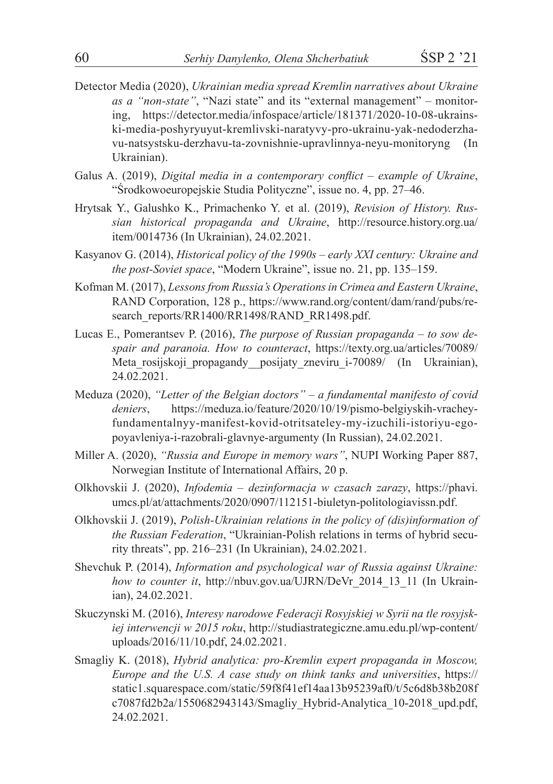- Detector Media (2020), *Ukrainian media spread Kremlin narratives about Ukraine as a "non-state"*, "Nazi state" and its "external management" – monitoring, https://detector.media/infospace/article/181371/2020-10-08-ukrainski-media-poshyryuyut-kremlivski-naratyvy-pro-ukrainu-yak-nedoderzhavu-natsystsku-derzhavu-ta-zovnishnie-upravlinnya-neyu-monitoryng (In Ukrainian).
- Galus A. (2019), *Digital media in a contemporary conflict example of Ukraine*, "Środkowoeuropejskie Studia Polityczne", issue no. 4, pp. 27–46.
- Hrytsak Y., Galushko K., Primachenko Y. et al. (2019), *Revision of History. Russian historical propaganda and Ukraine*, http://resource.history.org.ua/ item/0014736 (In Ukrainian), 24.02.2021.
- Kasyanov G. (2014), *Historical policy of the 1990s early XXI century: Ukraine and the post-Soviet space*, "Modern Ukraine", issue no. 21, pp. 135–159.
- Kofman M. (2017), *Lessons from Russia's Operations in Crimea and Eastern Ukraine*, RAND Corporation, 128 p., https://www.rand.org/content/dam/rand/pubs/research\_reports/RR1400/RR1498/RAND\_RR1498.pdf.
- Lucas E., Pomerantsev P. (2016), *The purpose of Russian propaganda to sow despair and paranoia. How to counteract*, https://texty.org.ua/articles/70089/ Meta rosijskoji propagandy posijaty zneviru i-70089/ (In Ukrainian), 24.02.2021.
- Meduza (2020), *"Letter of the Belgian doctors" a fundamental manifesto of covid deniers*, https://meduza.io/feature/2020/10/19/pismo-belgiyskih-vracheyfundamentalnyy-manifest-kovid-otritsateley-my-izuchili-istoriyu-egopoyavleniya-i-razobrali-glavnye-argumenty (In Russian), 24.02.2021.
- Miller A. (2020), *"Russia and Europe in memory wars"*, NUPI Working Paper 887, Norwegian Institute of International Affairs, 20 p.
- Olkhovskii J. (2020), *Infodemia dezinformacja w czasach zarazy*, https://phavi. umcs.pl/at/attachments/2020/0907/112151-biuletyn-politologiavissn.pdf.
- Olkhovskii J. (2019), *Polish-Ukrainian relations in the policy of (dis)information of the Russian Federation*, "Ukrainian-Polish relations in terms of hybrid security threats", pp. 216–231 (In Ukrainian), 24.02.2021.
- Shevchuk P. (2014), *Information and psychological war of Russia against Ukraine: how to counter it*, http://nbuv.gov.ua/UJRN/DeVr\_2014\_13\_11 (In Ukrainian), 24.02.2021.
- Skuczynski M. (2016), *Interesy narodowe Federacji Rosyjskiej w Syrii na tle rosyjskiej interwencji w 2015 roku*, http://studiastrategiczne.amu.edu.pl/wp-content/ uploads/2016/11/10.pdf, 24.02.2021.
- Smagliy K. (2018), *Hybrid analytica: pro-Kremlin expert propaganda in Moscow, Europe and the U.S. A case study on think tanks and universities*, https:// static1.squarespace.com/static/59f8f41ef14aa13b95239af0/t/5c6d8b38b208f c7087fd2b2a/1550682943143/Smagliy\_Hybrid-Analytica\_10-2018\_upd.pdf, 24.02.2021.